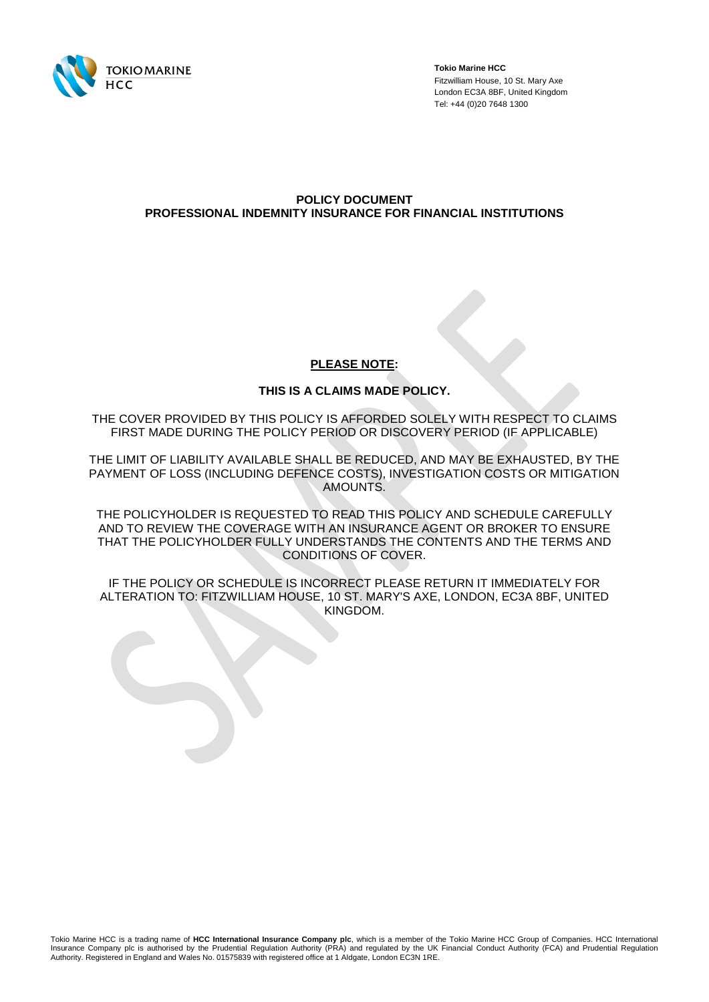

**Tokio Marine HCC** Fitzwilliam House, 10 St. Mary Axe London EC3A 8BF, United Kingdom Tel: +44 (0)20 7648 1300

# **POLICY DOCUMENT PROFESSIONAL INDEMNITY INSURANCE FOR FINANCIAL INSTITUTIONS**

# **PLEASE NOTE:**

# **THIS IS A CLAIMS MADE POLICY.**

THE COVER PROVIDED BY THIS POLICY IS AFFORDED SOLELY WITH RESPECT TO CLAIMS FIRST MADE DURING THE POLICY PERIOD OR DISCOVERY PERIOD (IF APPLICABLE)

THE LIMIT OF LIABILITY AVAILABLE SHALL BE REDUCED, AND MAY BE EXHAUSTED, BY THE PAYMENT OF LOSS (INCLUDING DEFENCE COSTS), INVESTIGATION COSTS OR MITIGATION AMOUNTS.

THE POLICYHOLDER IS REQUESTED TO READ THIS POLICY AND SCHEDULE CAREFULLY AND TO REVIEW THE COVERAGE WITH AN INSURANCE AGENT OR BROKER TO ENSURE THAT THE POLICYHOLDER FULLY UNDERSTANDS THE CONTENTS AND THE TERMS AND CONDITIONS OF COVER.

IF THE POLICY OR SCHEDULE IS INCORRECT PLEASE RETURN IT IMMEDIATELY FOR ALTERATION TO: FITZWILLIAM HOUSE, 10 ST. MARY'S AXE, LONDON, EC3A 8BF, UNITED KINGDOM.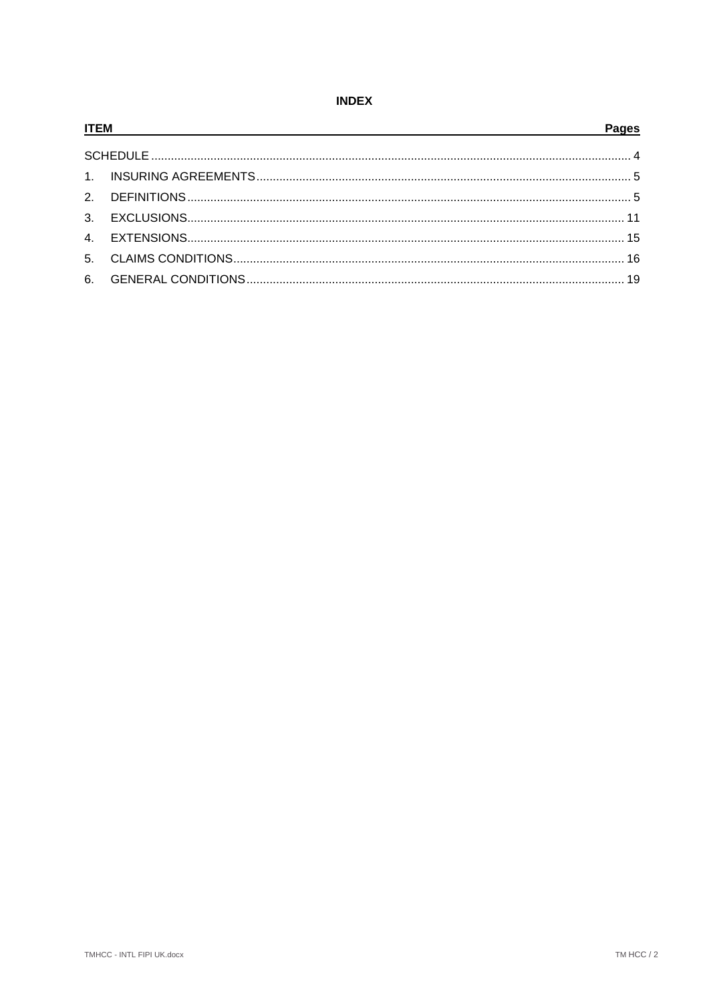# **INDEX**

| <b>ITEM</b> |  | <b>Pages</b> |
|-------------|--|--------------|
|             |  |              |
|             |  |              |
|             |  |              |
|             |  |              |
|             |  |              |
|             |  |              |
|             |  |              |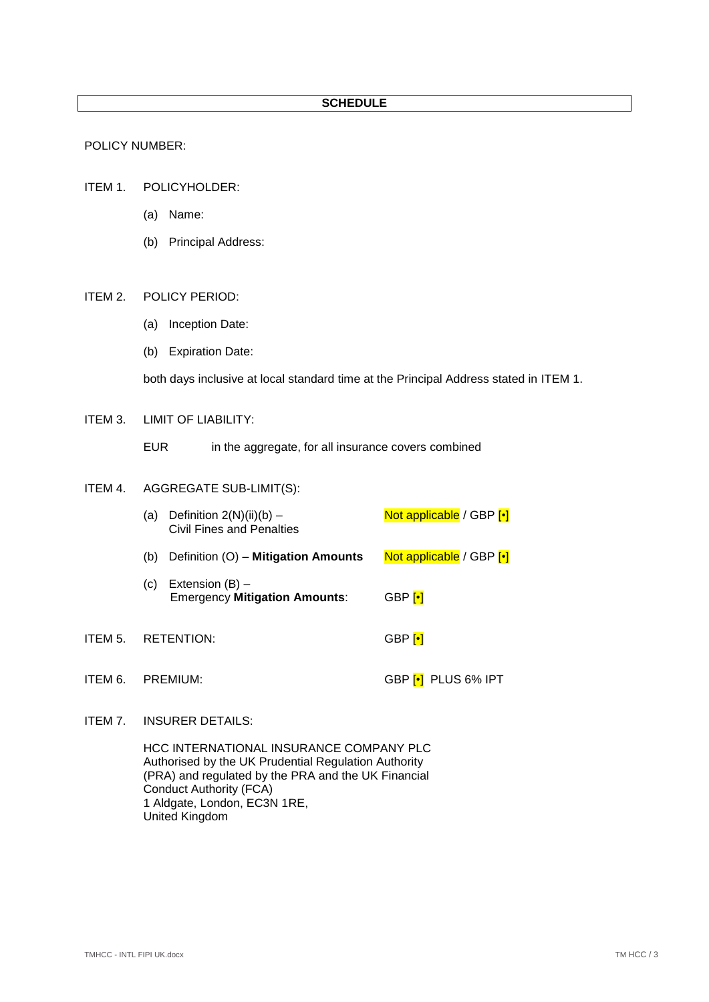# **SCHEDULE**

## POLICY NUMBER:

- <span id="page-2-0"></span>ITEM 1. POLICYHOLDER:
	- (a) Name:
	- (b) Principal Address:

# <span id="page-2-11"></span><span id="page-2-9"></span><span id="page-2-8"></span><span id="page-2-6"></span>ITEM 2. POLICY PERIOD:

- (a) Inception Date:
- (b) Expiration Date:

both days inclusive at local standard time at the Principal Address stated in [ITEM 1.](#page-2-0)

## <span id="page-2-3"></span>ITEM 3. LIMIT OF LIABILITY:

EUR in the aggregate, for all insurance covers combined

## <span id="page-2-10"></span><span id="page-2-5"></span><span id="page-2-4"></span>ITEM 4. AGGREGATE SUB-LIMIT(S):

| (a)               | Definition $2(N)(ii)(b)$ –<br>Civil Fines and Penalties   | Not applicable / GBP [.] |
|-------------------|-----------------------------------------------------------|--------------------------|
| (b)               | Definition (O) - Mitigation Amounts                       | Not applicable / GBP [.] |
| (C)               | Extension $(B)$ –<br><b>Emergency Mitigation Amounts:</b> | $GBP$ <sup>[•]</sup>     |
| <b>RETENTION:</b> |                                                           | GBP <mark>⊡</mark>       |

# <span id="page-2-1"></span>ITEM 6. PREMIUM: GBP [•] PLUS 6% IPT

# <span id="page-2-2"></span>ITEM 7. INSURER DETAILS:

<span id="page-2-7"></span>ITEM 5.

HCC INTERNATIONAL INSURANCE COMPANY PLC Authorised by the UK Prudential Regulation Authority (PRA) and regulated by the PRA and the UK Financial Conduct Authority (FCA) 1 Aldgate, London, EC3N 1RE, United Kingdom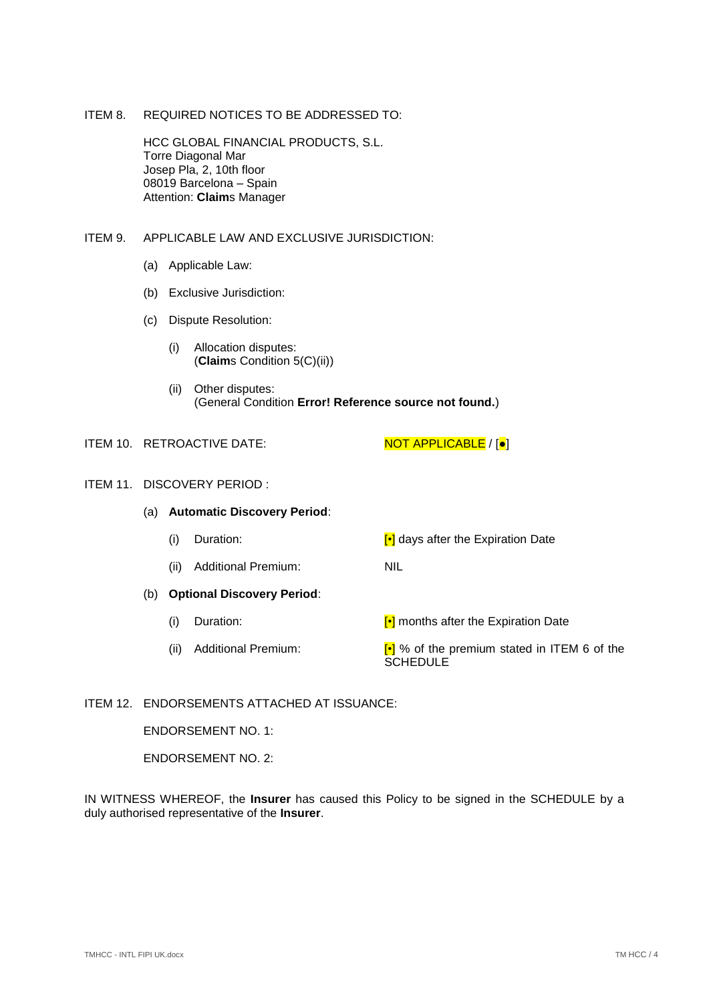# <span id="page-3-3"></span>ITEM 8. REQUIRED NOTICES TO BE ADDRESSED TO:

HCC GLOBAL FINANCIAL PRODUCTS, S.L. Torre Diagonal Mar Josep Pla, 2, 10th floor 08019 Barcelona – Spain Attention: **Claim**s Manager

# <span id="page-3-5"></span><span id="page-3-4"></span>ITEM 9. APPLICABLE LAW AND EXCLUSIVE JURISDICTION:

- (a) Applicable Law:
- (b) Exclusive Jurisdiction:
- (c) Dispute Resolution:
	- (i) Allocation disputes: (**Claim**s Condition [5\(C\)\(ii\)\)](#page-17-0)
	- (ii) Other disputes: (General Condition **Error! Reference source not found.**)

<span id="page-3-2"></span>ITEM 10. RETROACTIVE DATE: NOT APPLICABLE / [ $\bullet$ ]

#### <span id="page-3-0"></span>ITEM 11. DISCOVERY PERIOD :

- <span id="page-3-1"></span>(a) **Automatic Discovery Period**: (i) Duration:  $\begin{bmatrix} \cdot \\ \cdot \end{bmatrix}$  days after the Expiration Date (ii) Additional Premium: NIL (b) **Optional Discovery Period**:
	- (i) Duration: [•] months after the Expiration Date
	- (ii) Additional Premium:  $\begin{bmatrix} \cdot \\ \cdot \end{bmatrix}$  % of the premium stated in [ITEM 6](#page-2-1) of the SCHEDULE<sup>1</sup>

## ITEM 12. ENDORSEMENTS ATTACHED AT ISSUANCE:

ENDORSEMENT NO. 1:

ENDORSEMENT NO. 2:

IN WITNESS WHEREOF, the **Insurer** has caused this Policy to be signed in the SCHEDULE by a duly authorised representative of the **Insurer**.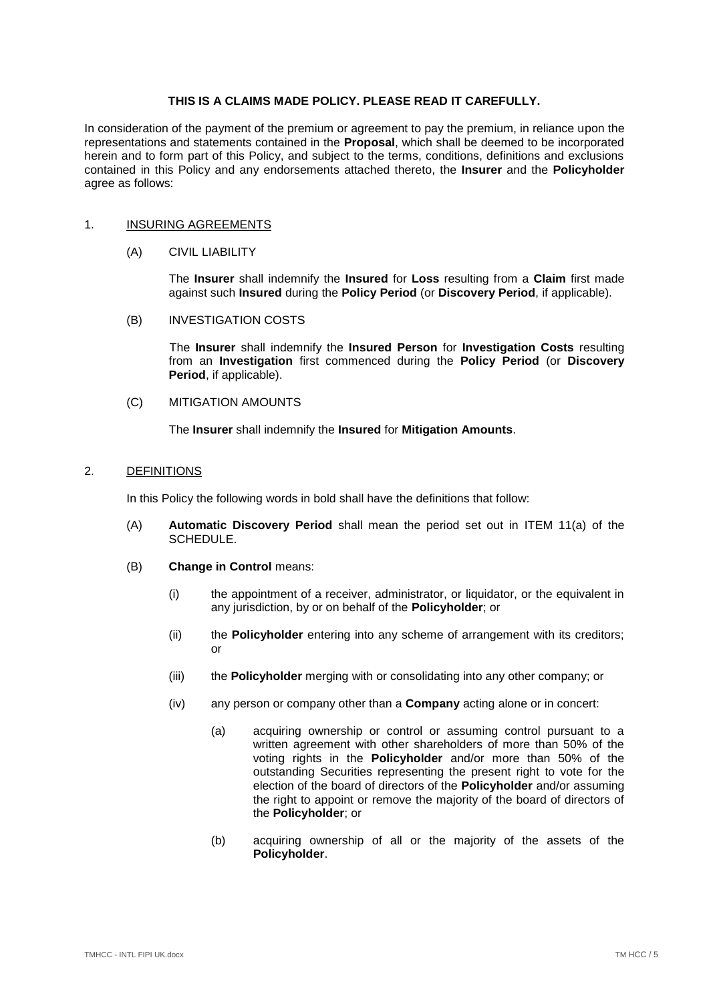# **THIS IS A CLAIMS MADE POLICY. PLEASE READ IT CAREFULLY.**

In consideration of the payment of the premium or agreement to pay the premium, in reliance upon the representations and statements contained in the **Proposal**, which shall be deemed to be incorporated herein and to form part of this Policy, and subject to the terms, conditions, definitions and exclusions contained in this Policy and any endorsements attached thereto, the **Insurer** and the **Policyholder** agree as follows:

### <span id="page-4-3"></span><span id="page-4-0"></span>1. INSURING AGREEMENTS

### (A) CIVIL LIABILITY

The **Insurer** shall indemnify the **Insured** for **Loss** resulting from a **Claim** first made against such **Insured** during the **Policy Period** (or **Discovery Period**, if applicable).

# <span id="page-4-2"></span>(B) INVESTIGATION COSTS

The **Insurer** shall indemnify the **Insured Person** for **Investigation Costs** resulting from an **Investigation** first commenced during the **Policy Period** (or **Discovery Period**, if applicable).

# <span id="page-4-4"></span>(C) MITIGATION AMOUNTS

The **Insurer** shall indemnify the **Insured** for **Mitigation Amounts**.

# <span id="page-4-1"></span>2. DEFINITIONS

In this Policy the following words in bold shall have the definitions that follow:

- (A) **Automatic Discovery Period** shall mean the period set out in [ITEM 11\(a\)](#page-3-0) of the SCHEDULE.
- (B) **Change in Control** means:
	- (i) the appointment of a receiver, administrator, or liquidator, or the equivalent in any jurisdiction, by or on behalf of the **Policyholder**; or
	- (ii) the **Policyholder** entering into any scheme of arrangement with its creditors; or
	- (iii) the **Policyholder** merging with or consolidating into any other company; or
	- (iv) any person or company other than a **Company** acting alone or in concert:
		- (a) acquiring ownership or control or assuming control pursuant to a written agreement with other shareholders of more than 50% of the voting rights in the **Policyholder** and/or more than 50% of the outstanding Securities representing the present right to vote for the election of the board of directors of the **Policyholder** and/or assuming the right to appoint or remove the majority of the board of directors of the **Policyholder**; or
		- (b) acquiring ownership of all or the majority of the assets of the **Policyholder**.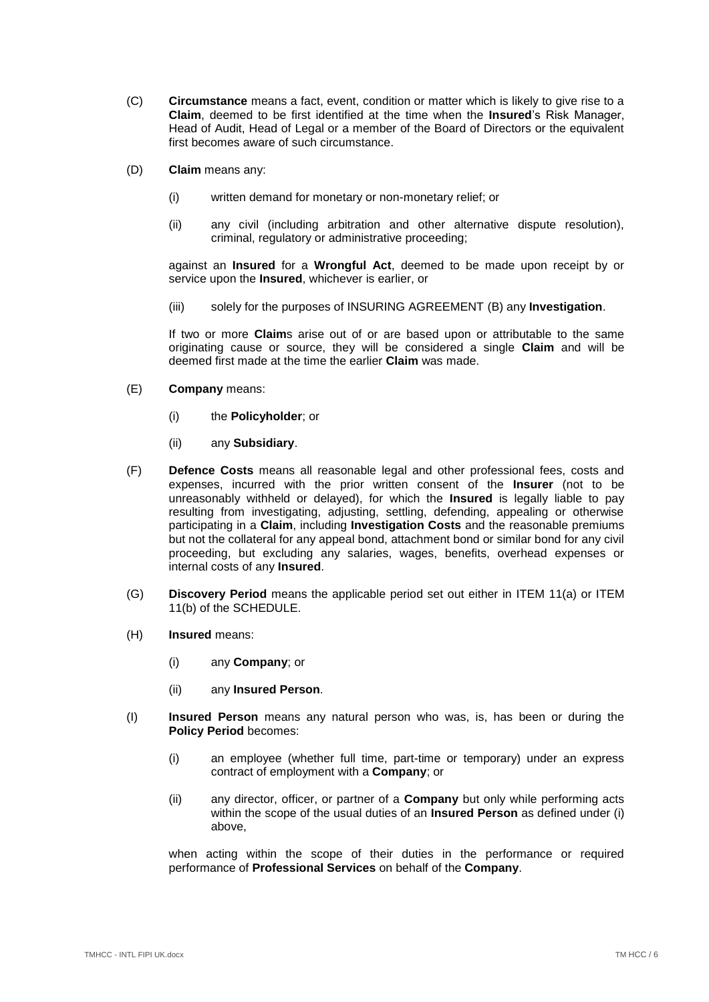- (C) **Circumstance** means a fact, event, condition or matter which is likely to give rise to a **Claim**, deemed to be first identified at the time when the **Insured**'s Risk Manager, Head of Audit, Head of Legal or a member of the Board of Directors or the equivalent first becomes aware of such circumstance.
- (D) **Claim** means any:
	- (i) written demand for monetary or non-monetary relief; or
	- (ii) any civil (including arbitration and other alternative dispute resolution), criminal, regulatory or administrative proceeding;

against an **Insured** for a **Wrongful Act**, deemed to be made upon receipt by or service upon the **Insured**, whichever is earlier, or

(iii) solely for the purposes of INSURING AGREEMENT [\(B\)](#page-4-2) any **Investigation**.

If two or more **Claim**s arise out of or are based upon or attributable to the same originating cause or source, they will be considered a single **Claim** and will be deemed first made at the time the earlier **Claim** was made.

- (E) **Company** means:
	- (i) the **Policyholder**; or
	- (ii) any **Subsidiary**.
- (F) **Defence Costs** means all reasonable legal and other professional fees, costs and expenses, incurred with the prior written consent of the **Insurer** (not to be unreasonably withheld or delayed), for which the **Insured** is legally liable to pay resulting from investigating, adjusting, settling, defending, appealing or otherwise participating in a **Claim**, including **Investigation Costs** and the reasonable premiums but not the collateral for any appeal bond, attachment bond or similar bond for any civil proceeding, but excluding any salaries, wages, benefits, overhead expenses or internal costs of any **Insured**.
- (G) **Discovery Period** means the applicable period set out either in [ITEM 11\(a\)](#page-3-0) or [ITEM](#page-3-1)  [11\(b\)](#page-3-1) of the SCHEDULE.
- (H) **Insured** means:
	- (i) any **Company**; or
	- (ii) any **Insured Person**.
- <span id="page-5-0"></span>(I) **Insured Person** means any natural person who was, is, has been or during the **Policy Period** becomes:
	- (i) an employee (whether full time, part-time or temporary) under an express contract of employment with a **Company**; or
	- (ii) any director, officer, or partner of a **Company** but only while performing acts within the scope of the usual duties of an **Insured Person** as defined under [\(i\)](#page-5-0) above,

when acting within the scope of their duties in the performance or required performance of **Professional Services** on behalf of the **Company**.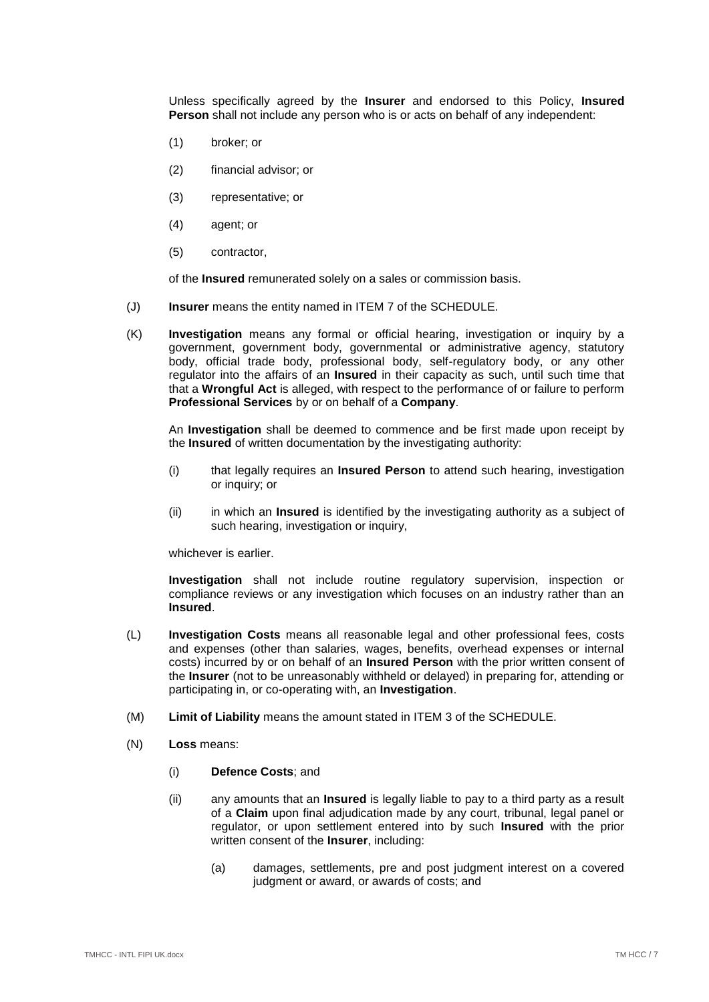Unless specifically agreed by the **Insurer** and endorsed to this Policy, **Insured Person** shall not include any person who is or acts on behalf of any independent:

- (1) broker; or
- (2) financial advisor; or
- (3) representative; or
- (4) agent; or
- (5) contractor,

of the **Insured** remunerated solely on a sales or commission basis.

- (J) **Insurer** means the entity named in [ITEM 7](#page-2-2) of the SCHEDULE.
- (K) **Investigation** means any formal or official hearing, investigation or inquiry by a government, government body, governmental or administrative agency, statutory body, official trade body, professional body, self-regulatory body, or any other regulator into the affairs of an **Insured** in their capacity as such, until such time that that a **Wrongful Act** is alleged, with respect to the performance of or failure to perform **Professional Services** by or on behalf of a **Company**.

An **Investigation** shall be deemed to commence and be first made upon receipt by the **Insured** of written documentation by the investigating authority:

- (i) that legally requires an **Insured Person** to attend such hearing, investigation or inquiry; or
- (ii) in which an **Insured** is identified by the investigating authority as a subject of such hearing, investigation or inquiry,

whichever is earlier.

**Investigation** shall not include routine regulatory supervision, inspection or compliance reviews or any investigation which focuses on an industry rather than an **Insured**.

- (L) **Investigation Costs** means all reasonable legal and other professional fees, costs and expenses (other than salaries, wages, benefits, overhead expenses or internal costs) incurred by or on behalf of an **Insured Person** with the prior written consent of the **Insurer** (not to be unreasonably withheld or delayed) in preparing for, attending or participating in, or co-operating with, an **Investigation**.
- (M) **Limit of Liability** means the amount stated in [ITEM 3](#page-2-3) of the SCHEDULE.
- <span id="page-6-0"></span>(N) **Loss** means:
	- (i) **Defence Costs**; and
	- (ii) any amounts that an **Insured** is legally liable to pay to a third party as a result of a **Claim** upon final adjudication made by any court, tribunal, legal panel or regulator, or upon settlement entered into by such **Insured** with the prior written consent of the **Insurer**, including:
		- (a) damages, settlements, pre and post judgment interest on a covered judgment or award, or awards of costs; and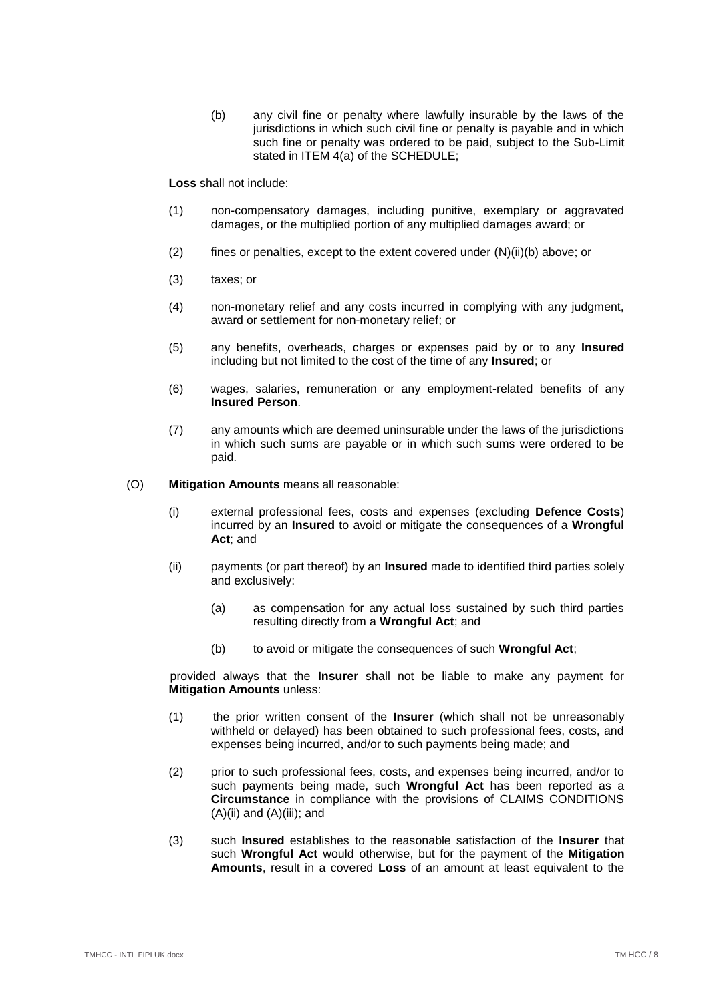(b) any civil fine or penalty where lawfully insurable by the laws of the jurisdictions in which such civil fine or penalty is payable and in which such fine or penalty was ordered to be paid, subject to the Sub-Limit stated in [ITEM 4\(a\)](#page-2-4) of the SCHEDULE;

<span id="page-7-0"></span>**Loss** shall not include:

- (1) non-compensatory damages, including punitive, exemplary or aggravated damages, or the multiplied portion of any multiplied damages award; or
- (2) fines or penalties, except to the extent covered under [\(N\)\(ii\)](#page-6-0)[\(b\)](#page-7-0) above; or
- (3) taxes; or
- (4) non-monetary relief and any costs incurred in complying with any judgment, award or settlement for non-monetary relief; or
- (5) any benefits, overheads, charges or expenses paid by or to any **Insured** including but not limited to the cost of the time of any **Insured**; or
- (6) wages, salaries, remuneration or any employment-related benefits of any **Insured Person**.
- (7) any amounts which are deemed uninsurable under the laws of the jurisdictions in which such sums are payable or in which such sums were ordered to be paid.

<span id="page-7-1"></span>(O) **Mitigation Amounts** means all reasonable:

- (i) external professional fees, costs and expenses (excluding **Defence Costs**) incurred by an **Insured** to avoid or mitigate the consequences of a **Wrongful Act**; and
- (ii) payments (or part thereof) by an **Insured** made to identified third parties solely and exclusively:
	- (a) as compensation for any actual loss sustained by such third parties resulting directly from a **Wrongful Act**; and
	- (b) to avoid or mitigate the consequences of such **Wrongful Act**;

provided always that the **Insurer** shall not be liable to make any payment for **Mitigation Amounts** unless:

- (1) the prior written consent of the **Insurer** (which shall not be unreasonably withheld or delayed) has been obtained to such professional fees, costs, and expenses being incurred, and/or to such payments being made; and
- (2) prior to such professional fees, costs, and expenses being incurred, and/or to such payments being made, such **Wrongful Act** has been reported as a **Circumstance** in compliance with the provisions of CLAIMS CONDITIONS  $(A)(ii)$  and  $(A)(iii)$ ; and
- (3) such **Insured** establishes to the reasonable satisfaction of the **Insurer** that such **Wrongful Act** would otherwise, but for the payment of the **Mitigation Amounts**, result in a covered **Loss** of an amount at least equivalent to the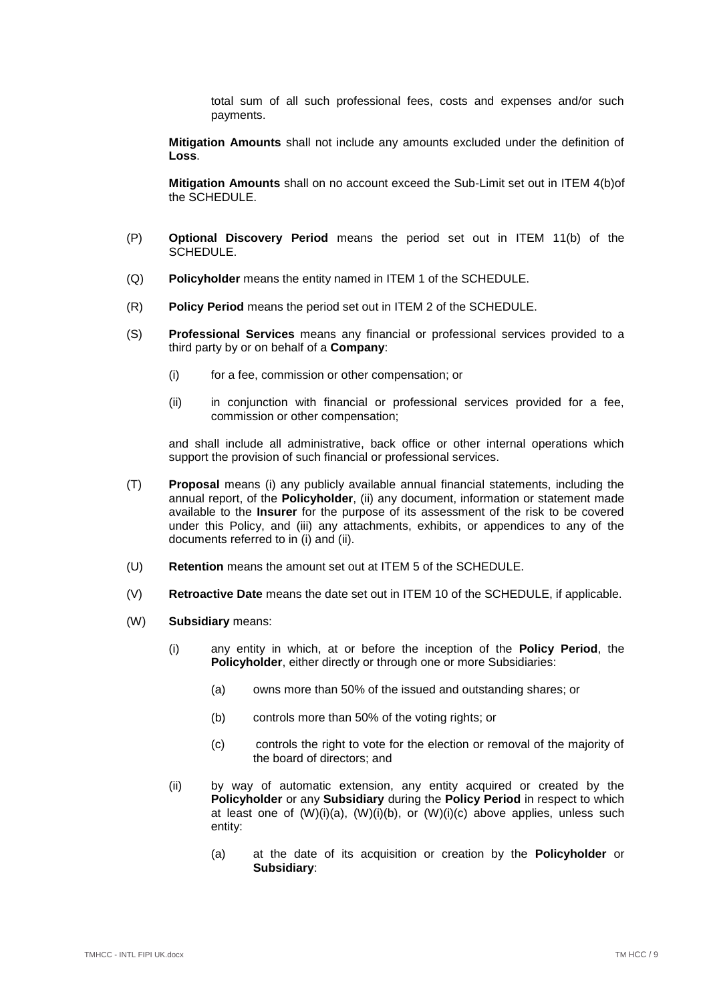total sum of all such professional fees, costs and expenses and/or such payments.

**Mitigation Amounts** shall not include any amounts excluded under the definition of **Loss**.

**Mitigation Amounts** shall on no account exceed the Sub-Limit set out in [ITEM 4\(b\)o](#page-2-5)f the SCHEDULE.

- (P) **Optional Discovery Period** means the period set out in [ITEM 11\(b\)](#page-3-1) of the SCHEDULE.
- (Q) **Policyholder** means the entity named in [ITEM 1](#page-2-0) of the SCHEDULE.
- (R) **Policy Period** means the period set out in [ITEM 2](#page-2-6) of the SCHEDULE.
- (S) **Professional Services** means any financial or professional services provided to a third party by or on behalf of a **Company**:
	- (i) for a fee, commission or other compensation; or
	- (ii) in conjunction with financial or professional services provided for a fee, commission or other compensation;

and shall include all administrative, back office or other internal operations which support the provision of such financial or professional services.

- (T) **Proposal** means (i) any publicly available annual financial statements, including the annual report, of the **Policyholder**, (ii) any document, information or statement made available to the **Insurer** for the purpose of its assessment of the risk to be covered under this Policy, and (iii) any attachments, exhibits, or appendices to any of the documents referred to in (i) and (ii).
- (U) **Retention** means the amount set out at [ITEM 5](#page-2-7) of the SCHEDULE.
- (V) **Retroactive Date** means the date set out in [ITEM 10](#page-3-2) of the SCHEDULE, if applicable.
- <span id="page-8-4"></span><span id="page-8-3"></span><span id="page-8-2"></span><span id="page-8-1"></span><span id="page-8-0"></span>(W) **Subsidiary** means:
	- (i) any entity in which, at or before the inception of the **Policy Period**, the **Policyholder**, either directly or through one or more Subsidiaries:
		- (a) owns more than 50% of the issued and outstanding shares; or
		- (b) controls more than 50% of the voting rights; or
		- (c) controls the right to vote for the election or removal of the majority of the board of directors; and
	- (ii) by way of automatic extension, any entity acquired or created by the **Policyholder** or any **Subsidiary** during the **Policy Period** in respect to which at least one of  $(W)(i)(a)$  $(W)(i)(a)$ ,  $(W)(i)(b)$ , or  $(W)(i)(c)$  $(W)(i)(c)$  above applies, unless such entity:
		- (a) at the date of its acquisition or creation by the **Policyholder** or **Subsidiary**: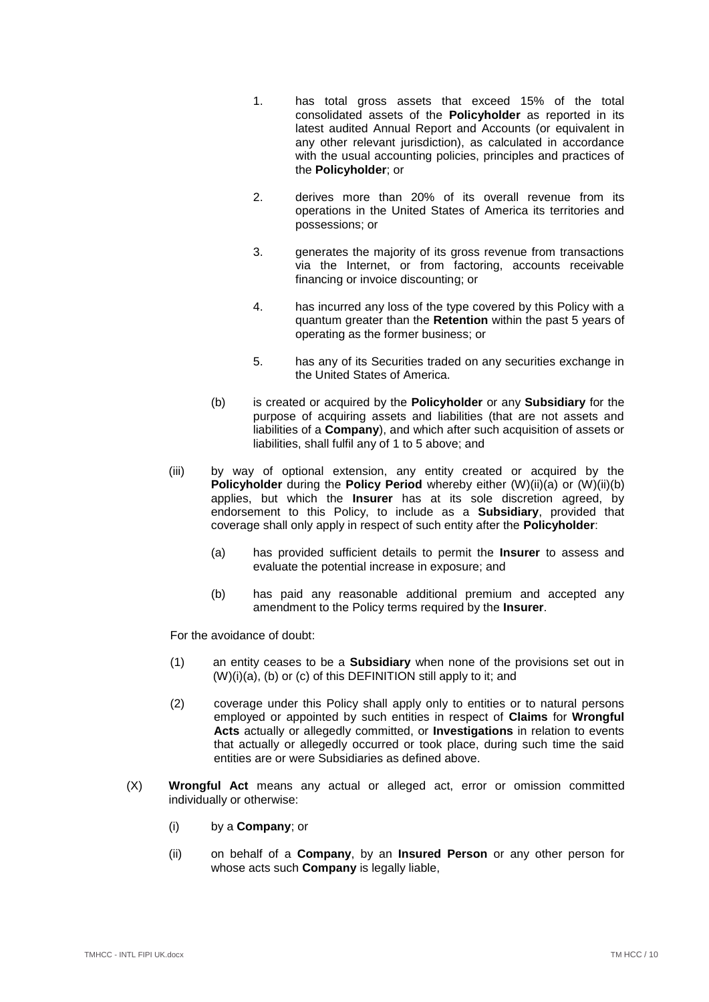- <span id="page-9-0"></span>1. has total gross assets that exceed 15% of the total consolidated assets of the **Policyholder** as reported in its latest audited Annual Report and Accounts (or equivalent in any other relevant jurisdiction), as calculated in accordance with the usual accounting policies, principles and practices of the **Policyholder**; or
- 2. derives more than 20% of its overall revenue from its operations in the United States of America its territories and possessions; or
- 3. generates the majority of its gross revenue from transactions via the Internet, or from factoring, accounts receivable financing or invoice discounting; or
- 4. has incurred any loss of the type covered by this Policy with a quantum greater than the **Retention** within the past 5 years of operating as the former business; or
- 5. has any of its Securities traded on any securities exchange in the United States of America.
- <span id="page-9-1"></span>(b) is created or acquired by the **Policyholder** or any **Subsidiary** for the purpose of acquiring assets and liabilities (that are not assets and liabilities of a **Company**), and which after such acquisition of assets or liabilities, shall fulfil any of [1](#page-9-0) to [5](#page-9-1) above; and
- <span id="page-9-2"></span>(iii) by way of optional extension, any entity created or acquired by the **Policyholder** during the **Policy Period** whereby either [\(W\)\(ii\)](#page-8-0)[\(a\)](#page-8-4) or (W)(ii)[\(b\)](#page-9-2) applies, but which the **Insurer** has at its sole discretion agreed, by endorsement to this Policy, to include as a **Subsidiary**, provided that coverage shall only apply in respect of such entity after the **Policyholder**:
	- (a) has provided sufficient details to permit the **Insurer** to assess and evaluate the potential increase in exposure; and
	- (b) has paid any reasonable additional premium and accepted any amendment to the Policy terms required by the **Insurer**.

For the avoidance of doubt:

- (1) an entity ceases to be a **Subsidiary** when none of the provisions set out in [\(W\)\(i\)](#page-8-0)[\(a\),](#page-8-1) [\(b\)](#page-8-2) or [\(c\)](#page-8-3) of this DEFINITION still apply to it; and
- (2) coverage under this Policy shall apply only to entities or to natural persons employed or appointed by such entities in respect of **Claims** for **Wrongful Acts** actually or allegedly committed, or **Investigations** in relation to events that actually or allegedly occurred or took place, during such time the said entities are or were Subsidiaries as defined above.
- (X) **Wrongful Act** means any actual or alleged act, error or omission committed individually or otherwise:
	- (i) by a **Company**; or
	- (ii) on behalf of a **Company**, by an **Insured Person** or any other person for whose acts such **Company** is legally liable,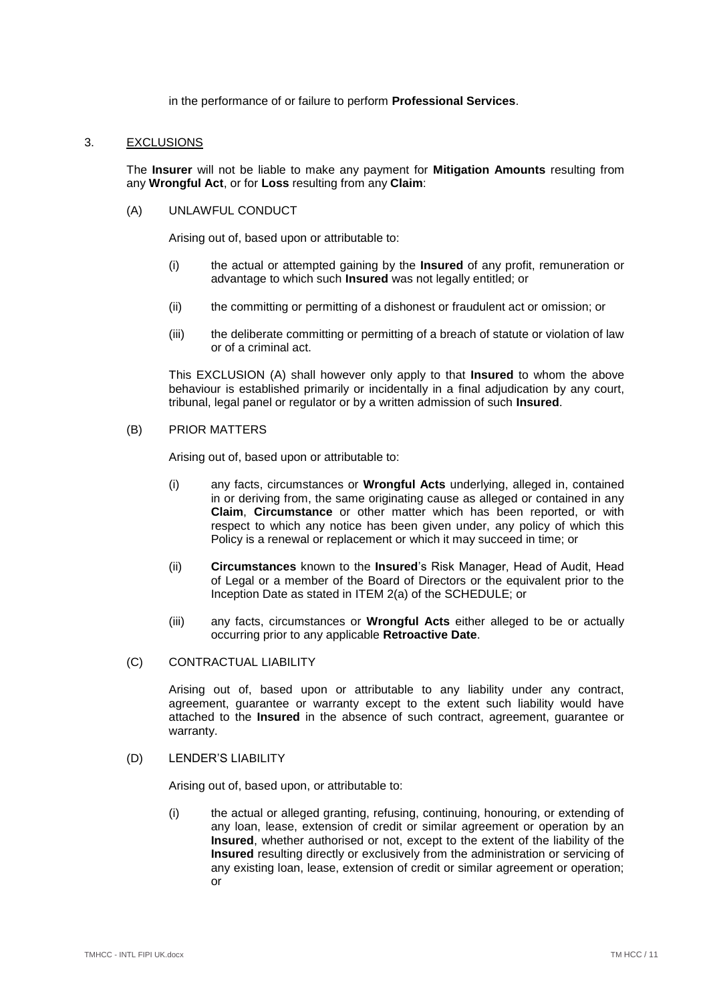in the performance of or failure to perform **Professional Services**.

### <span id="page-10-0"></span>3. EXCLUSIONS

The **Insurer** will not be liable to make any payment for **Mitigation Amounts** resulting from any **Wrongful Act**, or for **Loss** resulting from any **Claim**:

## <span id="page-10-1"></span>(A) UNLAWFUL CONDUCT

Arising out of, based upon or attributable to:

- (i) the actual or attempted gaining by the **Insured** of any profit, remuneration or advantage to which such **Insured** was not legally entitled; or
- (ii) the committing or permitting of a dishonest or fraudulent act or omission; or
- (iii) the deliberate committing or permitting of a breach of statute or violation of law or of a criminal act.

This EXCLUSION [\(A\)](#page-10-1) shall however only apply to that **Insured** to whom the above behaviour is established primarily or incidentally in a final adjudication by any court, tribunal, legal panel or regulator or by a written admission of such **Insured**.

<span id="page-10-2"></span>(B) PRIOR MATTERS

Arising out of, based upon or attributable to:

- (i) any facts, circumstances or **Wrongful Acts** underlying, alleged in, contained in or deriving from, the same originating cause as alleged or contained in any **Claim**, **Circumstance** or other matter which has been reported, or with respect to which any notice has been given under, any policy of which this Policy is a renewal or replacement or which it may succeed in time; or
- (ii) **Circumstances** known to the **Insured**'s Risk Manager, Head of Audit, Head of Legal or a member of the Board of Directors or the equivalent prior to the Inception Date as stated in [ITEM 2\(a\)](#page-2-8) of the SCHEDULE; or
- (iii) any facts, circumstances or **Wrongful Acts** either alleged to be or actually occurring prior to any applicable **Retroactive Date**.
- (C) CONTRACTUAL LIABILITY

Arising out of, based upon or attributable to any liability under any contract, agreement, guarantee or warranty except to the extent such liability would have attached to the **Insured** in the absence of such contract, agreement, guarantee or warranty.

(D) LENDER'S LIABILITY

Arising out of, based upon, or attributable to:

(i) the actual or alleged granting, refusing, continuing, honouring, or extending of any loan, lease, extension of credit or similar agreement or operation by an **Insured**, whether authorised or not, except to the extent of the liability of the **Insured** resulting directly or exclusively from the administration or servicing of any existing loan, lease, extension of credit or similar agreement or operation; or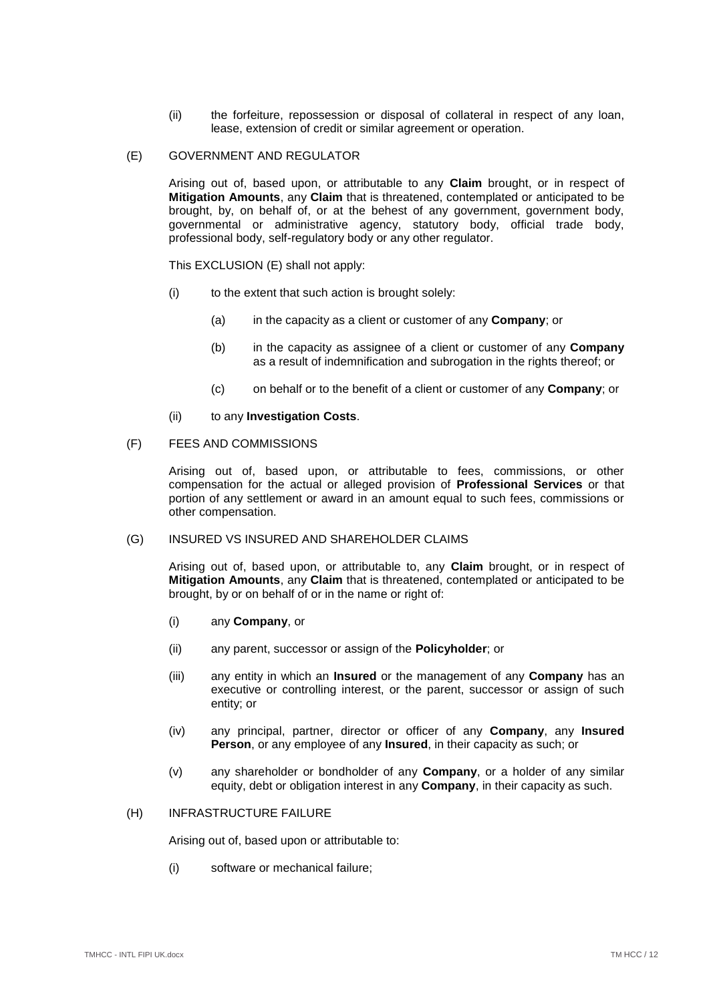(ii) the forfeiture, repossession or disposal of collateral in respect of any loan, lease, extension of credit or similar agreement or operation.

#### <span id="page-11-0"></span>(E) GOVERNMENT AND REGULATOR

Arising out of, based upon, or attributable to any **Claim** brought, or in respect of **Mitigation Amounts**, any **Claim** that is threatened, contemplated or anticipated to be brought, by, on behalf of, or at the behest of any government, government body, governmental or administrative agency, statutory body, official trade body, professional body, self-regulatory body or any other regulator.

This EXCLUSION [\(E\)](#page-11-0) shall not apply:

- (i) to the extent that such action is brought solely:
	- (a) in the capacity as a client or customer of any **Company**; or
	- (b) in the capacity as assignee of a client or customer of any **Company** as a result of indemnification and subrogation in the rights thereof; or
	- (c) on behalf or to the benefit of a client or customer of any **Company**; or
- (ii) to any **Investigation Costs**.
- (F) FEES AND COMMISSIONS

Arising out of, based upon, or attributable to fees, commissions, or other compensation for the actual or alleged provision of **Professional Services** or that portion of any settlement or award in an amount equal to such fees, commissions or other compensation.

### (G) INSURED VS INSURED AND SHAREHOLDER CLAIMS

Arising out of, based upon, or attributable to, any **Claim** brought, or in respect of **Mitigation Amounts**, any **Claim** that is threatened, contemplated or anticipated to be brought, by or on behalf of or in the name or right of:

- (i) any **Company**, or
- (ii) any parent, successor or assign of the **Policyholder**; or
- (iii) any entity in which an **Insured** or the management of any **Company** has an executive or controlling interest, or the parent, successor or assign of such entity; or
- (iv) any principal, partner, director or officer of any **Company**, any **Insured Person**, or any employee of any **Insured**, in their capacity as such; or
- (v) any shareholder or bondholder of any **Company**, or a holder of any similar equity, debt or obligation interest in any **Company**, in their capacity as such.
- (H) INFRASTRUCTURE FAILURE

Arising out of, based upon or attributable to:

(i) software or mechanical failure;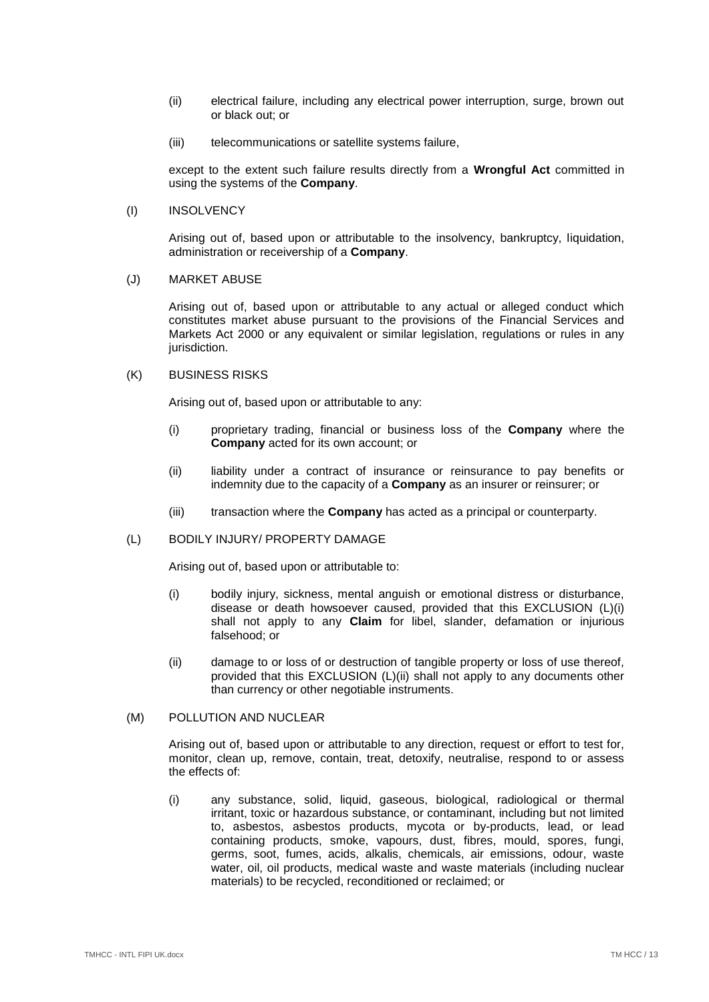- (ii) electrical failure, including any electrical power interruption, surge, brown out or black out; or
- (iii) telecommunications or satellite systems failure,

except to the extent such failure results directly from a **Wrongful Act** committed in using the systems of the **Company**.

#### (I) INSOLVENCY

Arising out of, based upon or attributable to the insolvency, bankruptcy, liquidation, administration or receivership of a **Company**.

# (J) MARKET ABUSE

Arising out of, based upon or attributable to any actual or alleged conduct which constitutes market abuse pursuant to the provisions of the Financial Services and Markets Act 2000 or any equivalent or similar legislation, regulations or rules in any jurisdiction.

# (K) BUSINESS RISKS

Arising out of, based upon or attributable to any:

- (i) proprietary trading, financial or business loss of the **Company** where the **Company** acted for its own account; or
- (ii) liability under a contract of insurance or reinsurance to pay benefits or indemnity due to the capacity of a **Company** as an insurer or reinsurer; or
- (iii) transaction where the **Company** has acted as a principal or counterparty.

### <span id="page-12-0"></span>(L) BODILY INJURY/ PROPERTY DAMAGE

Arising out of, based upon or attributable to:

- (i) bodily injury, sickness, mental anguish or emotional distress or disturbance, disease or death howsoever caused, provided that this EXCLUSION [\(L\)\(i\)](#page-12-0) shall not apply to any **Claim** for libel, slander, defamation or injurious falsehood; or
- (ii) damage to or loss of or destruction of tangible property or loss of use thereof, provided that this EXCLUSION [\(L\)\(ii\)](#page-12-0) shall not apply to any documents other than currency or other negotiable instruments.

#### (M) POLLUTION AND NUCLEAR

Arising out of, based upon or attributable to any direction, request or effort to test for, monitor, clean up, remove, contain, treat, detoxify, neutralise, respond to or assess the effects of:

(i) any substance, solid, liquid, gaseous, biological, radiological or thermal irritant, toxic or hazardous substance, or contaminant, including but not limited to, asbestos, asbestos products, mycota or by-products, lead, or lead containing products, smoke, vapours, dust, fibres, mould, spores, fungi, germs, soot, fumes, acids, alkalis, chemicals, air emissions, odour, waste water, oil, oil products, medical waste and waste materials (including nuclear materials) to be recycled, reconditioned or reclaimed; or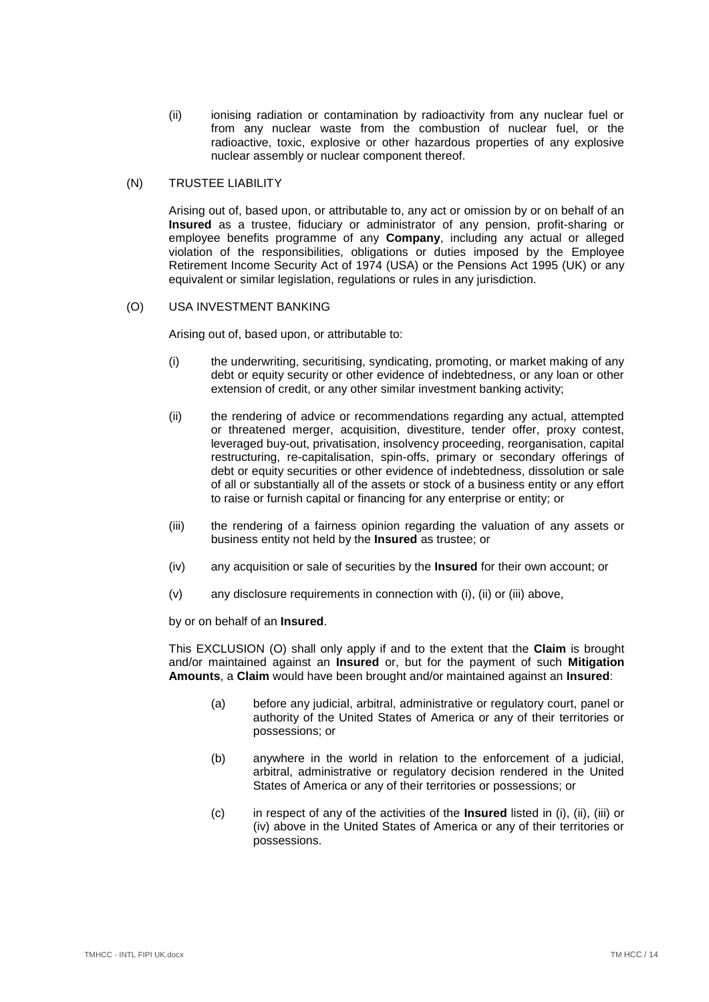(ii) ionising radiation or contamination by radioactivity from any nuclear fuel or from any nuclear waste from the combustion of nuclear fuel, or the radioactive, toxic, explosive or other hazardous properties of any explosive nuclear assembly or nuclear component thereof.

## (N) TRUSTEE LIABILITY

Arising out of, based upon, or attributable to, any act or omission by or on behalf of an **Insured** as a trustee, fiduciary or administrator of any pension, profit-sharing or employee benefits programme of any **Company**, including any actual or alleged violation of the responsibilities, obligations or duties imposed by the Employee Retirement Income Security Act of 1974 (USA) or the Pensions Act 1995 (UK) or any equivalent or similar legislation, regulations or rules in any jurisdiction.

# <span id="page-13-3"></span><span id="page-13-0"></span>(O) USA INVESTMENT BANKING

Arising out of, based upon, or attributable to:

- (i) the underwriting, securitising, syndicating, promoting, or market making of any debt or equity security or other evidence of indebtedness, or any loan or other extension of credit, or any other similar investment banking activity;
- <span id="page-13-1"></span>(ii) the rendering of advice or recommendations regarding any actual, attempted or threatened merger, acquisition, divestiture, tender offer, proxy contest, leveraged buy-out, privatisation, insolvency proceeding, reorganisation, capital restructuring, re-capitalisation, spin-offs, primary or secondary offerings of debt or equity securities or other evidence of indebtedness, dissolution or sale of all or substantially all of the assets or stock of a business entity or any effort to raise or furnish capital or financing for any enterprise or entity; or
- <span id="page-13-2"></span>(iii) the rendering of a fairness opinion regarding the valuation of any assets or business entity not held by the **Insured** as trustee; or
- <span id="page-13-4"></span>(iv) any acquisition or sale of securities by the **Insured** for their own account; or
- (v) any disclosure requirements in connection with [\(i\),](#page-13-0) [\(ii\)](#page-13-1) or [\(iii\)](#page-13-2) above,

by or on behalf of an **Insured**.

This EXCLUSION [\(O\)](#page-13-3) shall only apply if and to the extent that the **Claim** is brought and/or maintained against an **Insured** or, but for the payment of such **Mitigation Amounts**, a **Claim** would have been brought and/or maintained against an **Insured**:

- (a) before any judicial, arbitral, administrative or regulatory court, panel or authority of the United States of America or any of their territories or possessions; or
- (b) anywhere in the world in relation to the enforcement of a judicial, arbitral, administrative or regulatory decision rendered in the United States of America or any of their territories or possessions; or
- (c) in respect of any of the activities of the **Insured** listed in [\(i\),](#page-13-0) [\(ii\),](#page-13-1) [\(iii\)](#page-13-2) or [\(iv\)](#page-13-4) above in the United States of America or any of their territories or possessions.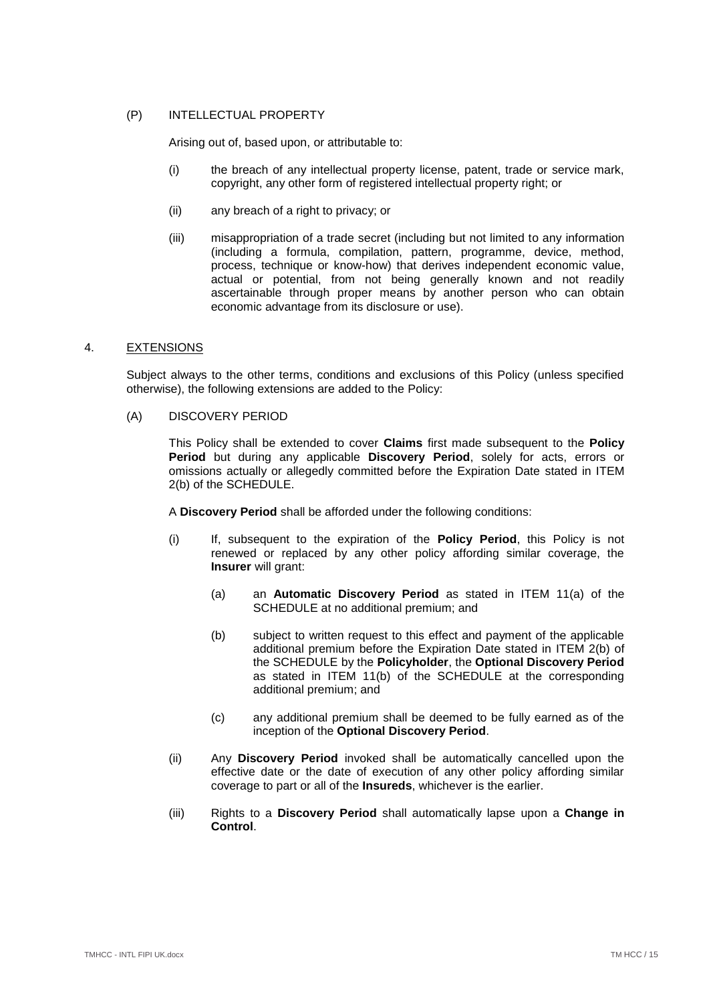# (P) INTELLECTUAL PROPERTY

Arising out of, based upon, or attributable to:

- (i) the breach of any intellectual property license, patent, trade or service mark, copyright, any other form of registered intellectual property right; or
- (ii) any breach of a right to privacy; or
- (iii) misappropriation of a trade secret (including but not limited to any information (including a formula, compilation, pattern, programme, device, method, process, technique or know-how) that derives independent economic value, actual or potential, from not being generally known and not readily ascertainable through proper means by another person who can obtain economic advantage from its disclosure or use).

### <span id="page-14-0"></span>4. EXTENSIONS

Subject always to the other terms, conditions and exclusions of this Policy (unless specified otherwise), the following extensions are added to the Policy:

## <span id="page-14-1"></span>(A) DISCOVERY PERIOD

This Policy shall be extended to cover **Claims** first made subsequent to the **Policy Period** but during any applicable **Discovery Period**, solely for acts, errors or omissions actually or allegedly committed before the Expiration Date stated in [ITEM](#page-2-9)  [2\(b\)](#page-2-9) of the SCHEDULE.

A **Discovery Period** shall be afforded under the following conditions:

- (i) If, subsequent to the expiration of the **Policy Period**, this Policy is not renewed or replaced by any other policy affording similar coverage, the **Insurer** will grant:
	- (a) an **Automatic Discovery Period** as stated in [ITEM 11\(a\)](#page-3-0) of the SCHEDULE at no additional premium; and
	- (b) subject to written request to this effect and payment of the applicable additional premium before the Expiration Date stated in [ITEM 2\(b\)](#page-2-9) of the SCHEDULE by the **Policyholder**, the **Optional Discovery Period** as stated in [ITEM 11\(b\)](#page-3-1) of the SCHEDULE at the corresponding additional premium; and
	- (c) any additional premium shall be deemed to be fully earned as of the inception of the **Optional Discovery Period**.
- (ii) Any **Discovery Period** invoked shall be automatically cancelled upon the effective date or the date of execution of any other policy affording similar coverage to part or all of the **Insureds**, whichever is the earlier.
- (iii) Rights to a **Discovery Period** shall automatically lapse upon a **Change in Control**.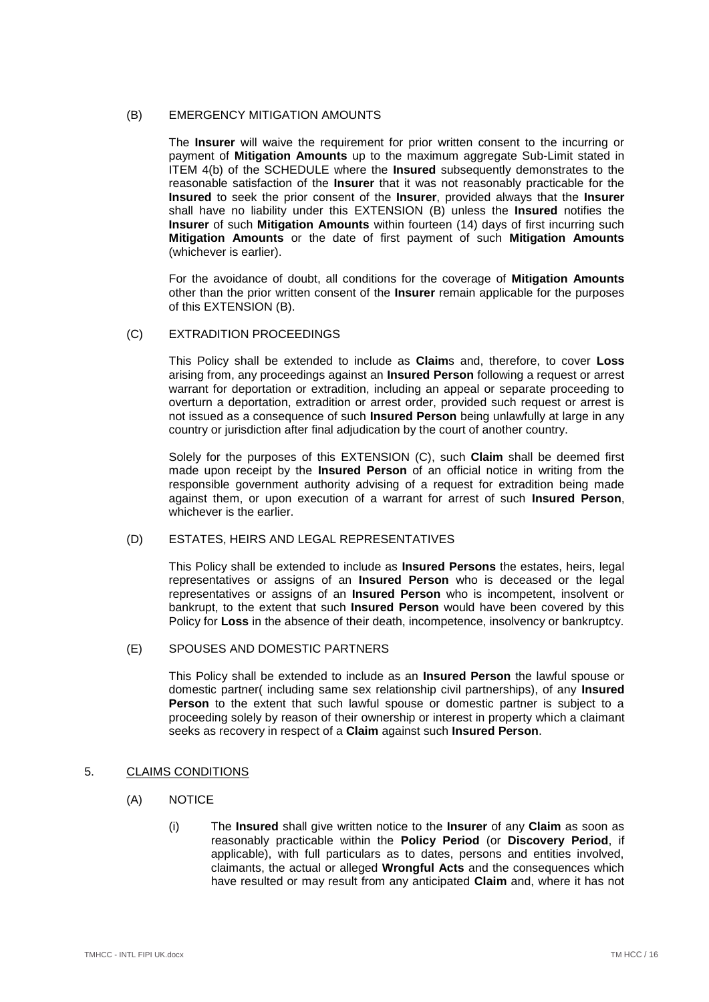# <span id="page-15-1"></span>(B) EMERGENCY MITIGATION AMOUNTS

The **Insurer** will waive the requirement for prior written consent to the incurring or payment of **Mitigation Amounts** up to the maximum aggregate Sub-Limit stated in [ITEM 4\(](#page-2-10)b) of the SCHEDULE where the **Insured** subsequently demonstrates to the reasonable satisfaction of the **Insurer** that it was not reasonably practicable for the **Insured** to seek the prior consent of the **Insurer**, provided always that the **Insurer** shall have no liability under this EXTENSION [\(B\)](#page-15-1) unless the **Insured** notifies the **Insurer** of such **Mitigation Amounts** within fourteen (14) days of first incurring such **Mitigation Amounts** or the date of first payment of such **Mitigation Amounts** (whichever is earlier).

For the avoidance of doubt, all conditions for the coverage of **Mitigation Amounts** other than the prior written consent of the **Insurer** remain applicable for the purposes of this EXTENSION [\(B\).](#page-15-1)

### <span id="page-15-3"></span>(C) EXTRADITION PROCEEDINGS

This Policy shall be extended to include as **Claim**s and, therefore, to cover **Loss** arising from, any proceedings against an **Insured Person** following a request or arrest warrant for deportation or extradition, including an appeal or separate proceeding to overturn a deportation, extradition or arrest order, provided such request or arrest is not issued as a consequence of such **Insured Person** being unlawfully at large in any country or jurisdiction after final adjudication by the court of another country.

Solely for the purposes of this EXTENSION [\(C\),](#page-15-3) such **Claim** shall be deemed first made upon receipt by the **Insured Person** of an official notice in writing from the responsible government authority advising of a request for extradition being made against them, or upon execution of a warrant for arrest of such **Insured Person**, whichever is the earlier.

# <span id="page-15-4"></span>(D) ESTATES, HEIRS AND LEGAL REPRESENTATIVES

This Policy shall be extended to include as **Insured Persons** the estates, heirs, legal representatives or assigns of an **Insured Person** who is deceased or the legal representatives or assigns of an **Insured Person** who is incompetent, insolvent or bankrupt, to the extent that such **Insured Person** would have been covered by this Policy for **Loss** in the absence of their death, incompetence, insolvency or bankruptcy.

# <span id="page-15-5"></span>(E) SPOUSES AND DOMESTIC PARTNERS

This Policy shall be extended to include as an **Insured Person** the lawful spouse or domestic partner( including same sex relationship civil partnerships), of any **Insured Person** to the extent that such lawful spouse or domestic partner is subject to a proceeding solely by reason of their ownership or interest in property which a claimant seeks as recovery in respect of a **Claim** against such **Insured Person**.

### <span id="page-15-2"></span><span id="page-15-0"></span>5. CLAIMS CONDITIONS

- (A) NOTICE
	- (i) The **Insured** shall give written notice to the **Insurer** of any **Claim** as soon as reasonably practicable within the **Policy Period** (or **Discovery Period**, if applicable), with full particulars as to dates, persons and entities involved, claimants, the actual or alleged **Wrongful Acts** and the consequences which have resulted or may result from any anticipated **Claim** and, where it has not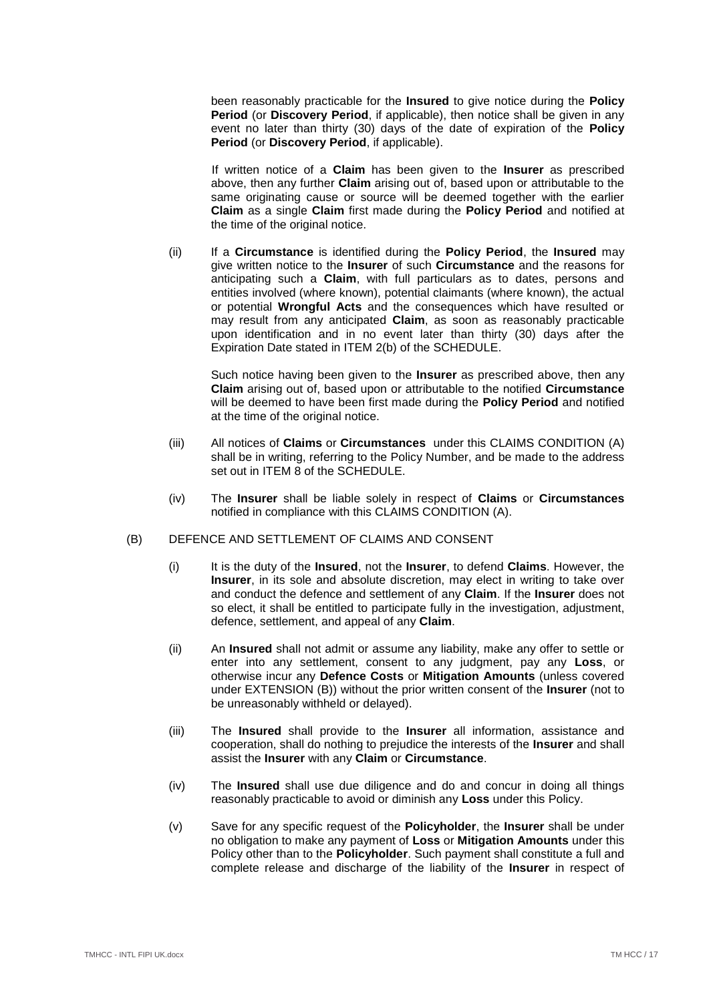been reasonably practicable for the **Insured** to give notice during the **Policy Period** (or **Discovery Period**, if applicable), then notice shall be given in any event no later than thirty (30) days of the date of expiration of the **Policy Period** (or **Discovery Period**, if applicable).

If written notice of a **Claim** has been given to the **Insurer** as prescribed above, then any further **Claim** arising out of, based upon or attributable to the same originating cause or source will be deemed together with the earlier **Claim** as a single **Claim** first made during the **Policy Period** and notified at the time of the original notice.

(ii) If a **Circumstance** is identified during the **Policy Period**, the **Insured** may give written notice to the **Insurer** of such **Circumstance** and the reasons for anticipating such a **Claim**, with full particulars as to dates, persons and entities involved (where known), potential claimants (where known), the actual or potential **Wrongful Acts** and the consequences which have resulted or may result from any anticipated **Claim**, as soon as reasonably practicable upon identification and in no event later than thirty (30) days after the Expiration Date stated in [ITEM 2\(b\)](#page-2-9) of the SCHEDULE.

Such notice having been given to the **Insurer** as prescribed above, then any **Claim** arising out of, based upon or attributable to the notified **Circumstance** will be deemed to have been first made during the **Policy Period** and notified at the time of the original notice.

- (iii) All notices of **Claims** or **Circumstances** under this CLAIMS CONDITION [\(A\)](#page-15-2) shall be in writing, referring to the Policy Number, and be made to the address set out in [ITEM 8](#page-3-3) of the SCHEDULE.
- (iv) The **Insurer** shall be liable solely in respect of **Claims** or **Circumstances** notified in compliance with this CLAIMS CONDITION [\(A\).](#page-15-2)

# (B) DEFENCE AND SETTLEMENT OF CLAIMS AND CONSENT

- (i) It is the duty of the **Insured**, not the **Insurer**, to defend **Claims**. However, the **Insurer**, in its sole and absolute discretion, may elect in writing to take over and conduct the defence and settlement of any **Claim**. If the **Insurer** does not so elect, it shall be entitled to participate fully in the investigation, adjustment, defence, settlement, and appeal of any **Claim**.
- (ii) An **Insured** shall not admit or assume any liability, make any offer to settle or enter into any settlement, consent to any judgment, pay any **Loss**, or otherwise incur any **Defence Costs** or **Mitigation Amounts** (unless covered under EXTENSION [\(B\)\)](#page-15-1) without the prior written consent of the **Insurer** (not to be unreasonably withheld or delayed).
- (iii) The **Insured** shall provide to the **Insurer** all information, assistance and cooperation, shall do nothing to prejudice the interests of the **Insurer** and shall assist the **Insurer** with any **Claim** or **Circumstance**.
- (iv) The **Insured** shall use due diligence and do and concur in doing all things reasonably practicable to avoid or diminish any **Loss** under this Policy.
- (v) Save for any specific request of the **Policyholder**, the **Insurer** shall be under no obligation to make any payment of **Loss** or **Mitigation Amounts** under this Policy other than to the **Policyholder**. Such payment shall constitute a full and complete release and discharge of the liability of the **Insurer** in respect of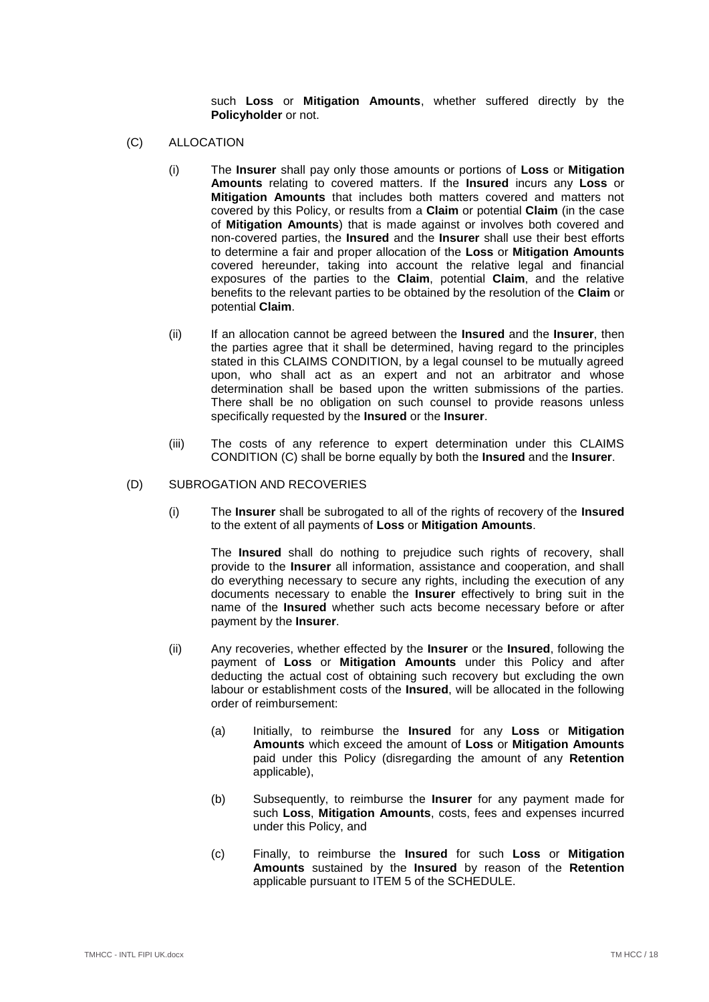such **Loss** or **Mitigation Amounts**, whether suffered directly by the **Policyholder** or not.

- <span id="page-17-1"></span>(C) ALLOCATION
	- (i) The **Insurer** shall pay only those amounts or portions of **Loss** or **Mitigation Amounts** relating to covered matters. If the **Insured** incurs any **Loss** or **Mitigation Amounts** that includes both matters covered and matters not covered by this Policy, or results from a **Claim** or potential **Claim** (in the case of **Mitigation Amounts**) that is made against or involves both covered and non-covered parties, the **Insured** and the **Insurer** shall use their best efforts to determine a fair and proper allocation of the **Loss** or **Mitigation Amounts** covered hereunder, taking into account the relative legal and financial exposures of the parties to the **Claim**, potential **Claim**, and the relative benefits to the relevant parties to be obtained by the resolution of the **Claim** or potential **Claim**.
	- (ii) If an allocation cannot be agreed between the **Insured** and the **Insurer**, then the parties agree that it shall be determined, having regard to the principles stated in this CLAIMS CONDITION, by a legal counsel to be mutually agreed upon, who shall act as an expert and not an arbitrator and whose determination shall be based upon the written submissions of the parties. There shall be no obligation on such counsel to provide reasons unless specifically requested by the **Insured** or the **Insurer**.
	- (iii) The costs of any reference to expert determination under this CLAIMS CONDITION [\(C\)](#page-17-1) shall be borne equally by both the **Insured** and the **Insurer**.

#### <span id="page-17-0"></span>(D) SUBROGATION AND RECOVERIES

(i) The **Insurer** shall be subrogated to all of the rights of recovery of the **Insured** to the extent of all payments of **Loss** or **Mitigation Amounts**.

The **Insured** shall do nothing to prejudice such rights of recovery, shall provide to the **Insurer** all information, assistance and cooperation, and shall do everything necessary to secure any rights, including the execution of any documents necessary to enable the **Insurer** effectively to bring suit in the name of the **Insured** whether such acts become necessary before or after payment by the **Insurer**.

- (ii) Any recoveries, whether effected by the **Insurer** or the **Insured**, following the payment of **Loss** or **Mitigation Amounts** under this Policy and after deducting the actual cost of obtaining such recovery but excluding the own labour or establishment costs of the **Insured**, will be allocated in the following order of reimbursement:
	- (a) Initially, to reimburse the **Insured** for any **Loss** or **Mitigation Amounts** which exceed the amount of **Loss** or **Mitigation Amounts** paid under this Policy (disregarding the amount of any **Retention** applicable),
	- (b) Subsequently, to reimburse the **Insurer** for any payment made for such **Loss**, **Mitigation Amounts**, costs, fees and expenses incurred under this Policy, and
	- (c) Finally, to reimburse the **Insured** for such **Loss** or **Mitigation Amounts** sustained by the **Insured** by reason of the **Retention** applicable pursuant to [ITEM 5](#page-2-7) of the SCHEDULE.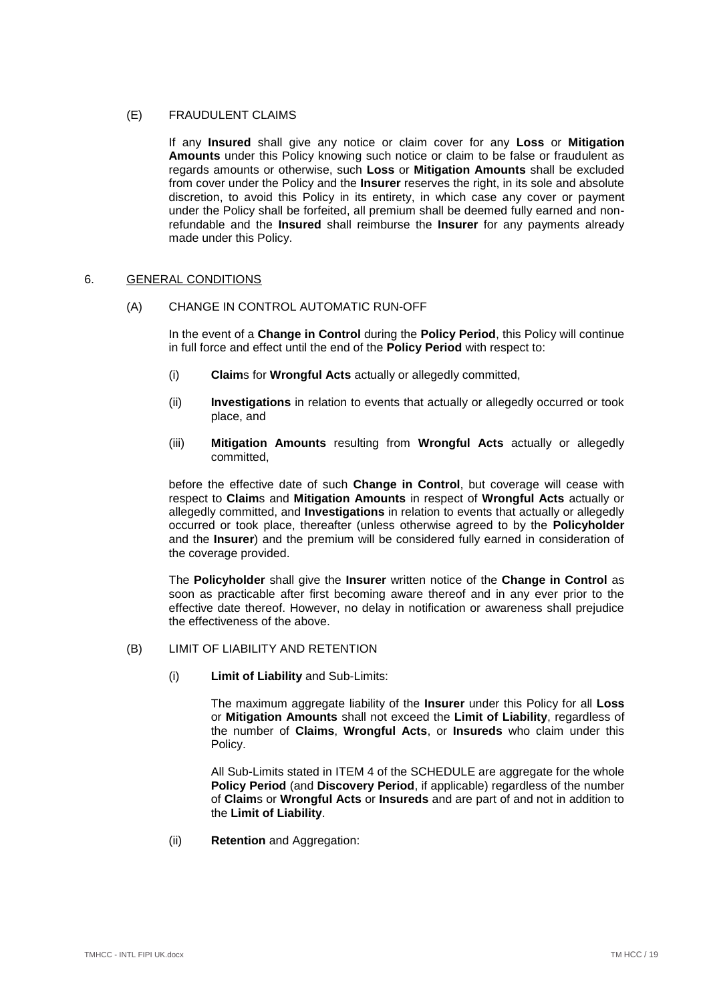# (E) FRAUDULENT CLAIMS

If any **Insured** shall give any notice or claim cover for any **Loss** or **Mitigation Amounts** under this Policy knowing such notice or claim to be false or fraudulent as regards amounts or otherwise, such **Loss** or **Mitigation Amounts** shall be excluded from cover under the Policy and the **Insurer** reserves the right, in its sole and absolute discretion, to avoid this Policy in its entirety, in which case any cover or payment under the Policy shall be forfeited, all premium shall be deemed fully earned and nonrefundable and the **Insured** shall reimburse the **Insurer** for any payments already made under this Policy.

## <span id="page-18-0"></span>6. GENERAL CONDITIONS

# (A) CHANGE IN CONTROL AUTOMATIC RUN-OFF

In the event of a **Change in Control** during the **Policy Period**, this Policy will continue in full force and effect until the end of the **Policy Period** with respect to:

- (i) **Claim**s for **Wrongful Acts** actually or allegedly committed,
- (ii) **Investigations** in relation to events that actually or allegedly occurred or took place, and
- (iii) **Mitigation Amounts** resulting from **Wrongful Acts** actually or allegedly committed,

before the effective date of such **Change in Control**, but coverage will cease with respect to **Claim**s and **Mitigation Amounts** in respect of **Wrongful Acts** actually or allegedly committed, and **Investigations** in relation to events that actually or allegedly occurred or took place, thereafter (unless otherwise agreed to by the **Policyholder** and the **Insurer**) and the premium will be considered fully earned in consideration of the coverage provided.

The **Policyholder** shall give the **Insurer** written notice of the **Change in Control** as soon as practicable after first becoming aware thereof and in any ever prior to the effective date thereof. However, no delay in notification or awareness shall prejudice the effectiveness of the above.

- (B) LIMIT OF LIABILITY AND RETENTION
	- (i) **Limit of Liability** and Sub-Limits:

The maximum aggregate liability of the **Insurer** under this Policy for all **Loss** or **Mitigation Amounts** shall not exceed the **Limit of Liability**, regardless of the number of **Claims**, **Wrongful Acts**, or **Insureds** who claim under this Policy.

All Sub-Limits stated in [ITEM 4](#page-2-10) of the SCHEDULE are aggregate for the whole **Policy Period** (and **Discovery Period**, if applicable) regardless of the number of **Claim**s or **Wrongful Acts** or **Insureds** and are part of and not in addition to the **Limit of Liability**.

(ii) **Retention** and Aggregation: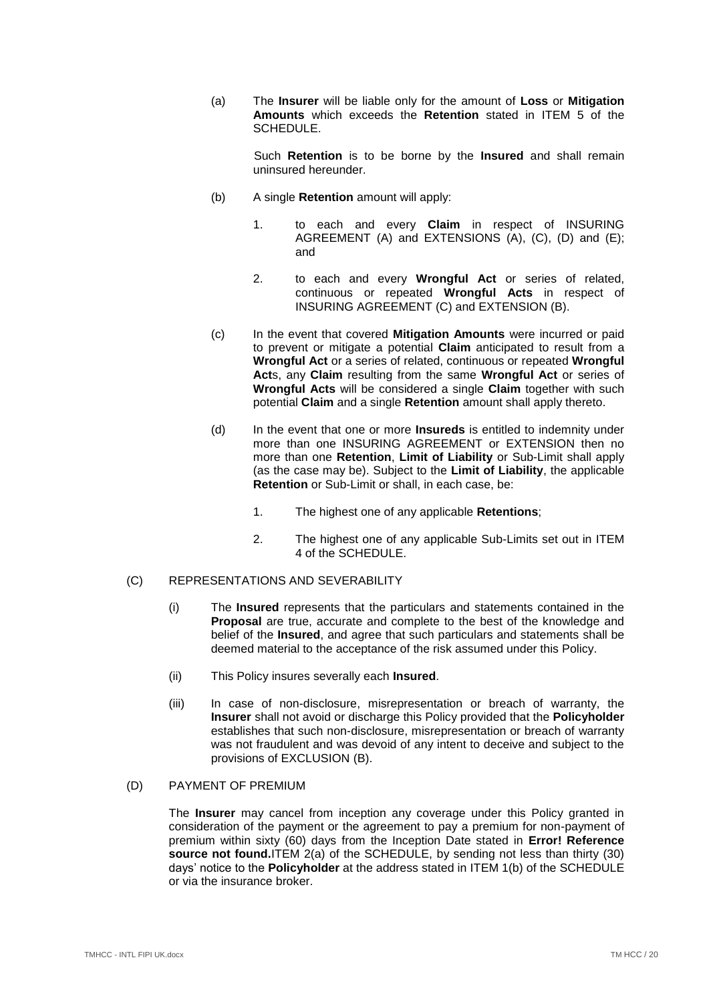(a) The **Insurer** will be liable only for the amount of **Loss** or **Mitigation Amounts** which exceeds the **Retention** stated in [ITEM 5](#page-2-7) of the SCHEDULE<sub>.</sub>

> Such **Retention** is to be borne by the **Insured** and shall remain uninsured hereunder.

- (b) A single **Retention** amount will apply:
	- 1. to each and every **Claim** in respect of INSURING AGREEMENT [\(A\)](#page-4-3) and EXTENSIONS [\(A\),](#page-14-1) [\(C\),](#page-15-3) [\(D\)](#page-15-4) and [\(E\);](#page-15-5) and
	- 2. to each and every **Wrongful Act** or series of related, continuous or repeated **Wrongful Acts** in respect of INSURING AGREEMENT [\(C\)](#page-4-4) and EXTENSION [\(B\).](#page-15-1)
- (c) In the event that covered **Mitigation Amounts** were incurred or paid to prevent or mitigate a potential **Claim** anticipated to result from a **Wrongful Act** or a series of related, continuous or repeated **Wrongful Act**s, any **Claim** resulting from the same **Wrongful Act** or series of **Wrongful Acts** will be considered a single **Claim** together with such potential **Claim** and a single **Retention** amount shall apply thereto.
- (d) In the event that one or more **Insureds** is entitled to indemnity under more than one INSURING AGREEMENT or EXTENSION then no more than one **Retention**, **Limit of Liability** or Sub-Limit shall apply (as the case may be). Subject to the **Limit of Liability**, the applicable **Retention** or Sub-Limit or shall, in each case, be:
	- 1. The highest one of any applicable **Retentions**;
	- 2. The highest one of any applicable Sub-Limits set out in [ITEM](#page-2-10)  [4](#page-2-10) of the SCHEDULE.
- (C) REPRESENTATIONS AND SEVERABILITY
	- (i) The **Insured** represents that the particulars and statements contained in the **Proposal** are true, accurate and complete to the best of the knowledge and belief of the **Insured**, and agree that such particulars and statements shall be deemed material to the acceptance of the risk assumed under this Policy.
	- (ii) This Policy insures severally each **Insured**.
	- (iii) In case of non-disclosure, misrepresentation or breach of warranty, the **Insurer** shall not avoid or discharge this Policy provided that the **Policyholder** establishes that such non-disclosure, misrepresentation or breach of warranty was not fraudulent and was devoid of any intent to deceive and subject to the provisions of EXCLUSION [\(B\).](#page-10-2)
- (D) PAYMENT OF PREMIUM

The **Insurer** may cancel from inception any coverage under this Policy granted in consideration of the payment or the agreement to pay a premium for non-payment of premium within sixty (60) days from the Inception Date stated in **Error! Reference source not found.**[ITEM 2\(a\)](#page-2-8) of the SCHEDULE, by sending not less than thirty (30) days' notice to the **Policyholder** at the address stated in [ITEM 1\(b\)](#page-2-11) of the SCHEDULE or via the insurance broker.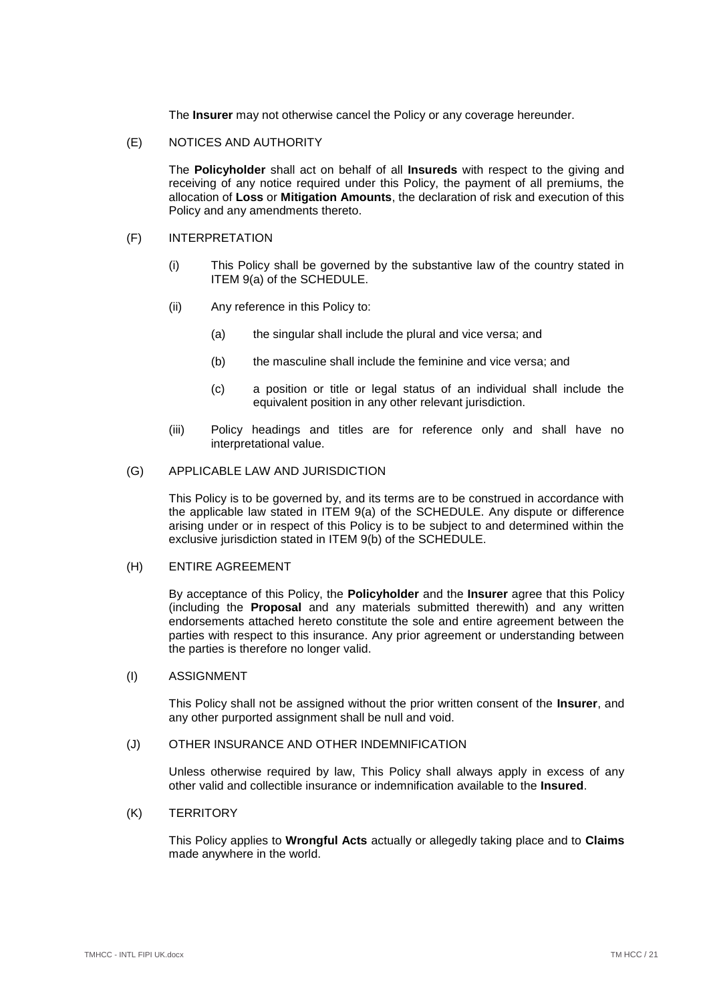The **Insurer** may not otherwise cancel the Policy or any coverage hereunder.

### (E) NOTICES AND AUTHORITY

The **Policyholder** shall act on behalf of all **Insureds** with respect to the giving and receiving of any notice required under this Policy, the payment of all premiums, the allocation of **Loss** or **Mitigation Amounts**, the declaration of risk and execution of this Policy and any amendments thereto.

#### (F) INTERPRETATION

- (i) This Policy shall be governed by the substantive law of the country stated in [ITEM 9\(a\)](#page-3-4) of the SCHEDULE.
- (ii) Any reference in this Policy to:
	- (a) the singular shall include the plural and vice versa; and
	- (b) the masculine shall include the feminine and vice versa; and
	- (c) a position or title or legal status of an individual shall include the equivalent position in any other relevant jurisdiction.
- (iii) Policy headings and titles are for reference only and shall have no interpretational value.

#### (G) APPLICABLE LAW AND JURISDICTION

This Policy is to be governed by, and its terms are to be construed in accordance with the applicable law stated in [ITEM 9\(a\)](#page-3-4) of the SCHEDULE. Any dispute or difference arising under or in respect of this Policy is to be subject to and determined within the exclusive jurisdiction stated in [ITEM 9\(b\)](#page-3-5) of the SCHEDULE.

#### (H) ENTIRE AGREEMENT

By acceptance of this Policy, the **Policyholder** and the **Insurer** agree that this Policy (including the **Proposal** and any materials submitted therewith) and any written endorsements attached hereto constitute the sole and entire agreement between the parties with respect to this insurance. Any prior agreement or understanding between the parties is therefore no longer valid.

### (I) ASSIGNMENT

This Policy shall not be assigned without the prior written consent of the **Insurer**, and any other purported assignment shall be null and void.

#### (J) OTHER INSURANCE AND OTHER INDEMNIFICATION

Unless otherwise required by law, This Policy shall always apply in excess of any other valid and collectible insurance or indemnification available to the **Insured**.

### (K) TERRITORY

This Policy applies to **Wrongful Acts** actually or allegedly taking place and to **Claims** made anywhere in the world.